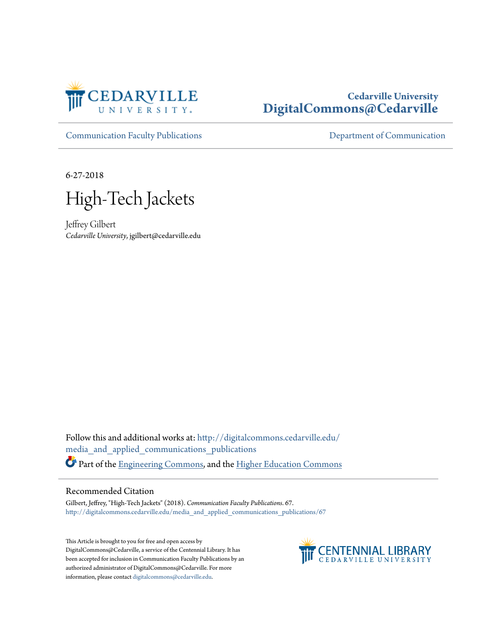

## **Cedarville University [DigitalCommons@Cedarville](http://digitalcommons.cedarville.edu?utm_source=digitalcommons.cedarville.edu%2Fmedia_and_applied_communications_publications%2F67&utm_medium=PDF&utm_campaign=PDFCoverPages)**

[Communication Faculty Publications](http://digitalcommons.cedarville.edu/media_and_applied_communications_publications?utm_source=digitalcommons.cedarville.edu%2Fmedia_and_applied_communications_publications%2F67&utm_medium=PDF&utm_campaign=PDFCoverPages) [Department of Communication](http://digitalcommons.cedarville.edu/media_and_applied_communications?utm_source=digitalcommons.cedarville.edu%2Fmedia_and_applied_communications_publications%2F67&utm_medium=PDF&utm_campaign=PDFCoverPages)

6-27-2018

High-Tech Jackets

Jeffrey Gilbert *Cedarville University*, jgilbert@cedarville.edu

Follow this and additional works at: [http://digitalcommons.cedarville.edu/](http://digitalcommons.cedarville.edu/media_and_applied_communications_publications?utm_source=digitalcommons.cedarville.edu%2Fmedia_and_applied_communications_publications%2F67&utm_medium=PDF&utm_campaign=PDFCoverPages) [media\\_and\\_applied\\_communications\\_publications](http://digitalcommons.cedarville.edu/media_and_applied_communications_publications?utm_source=digitalcommons.cedarville.edu%2Fmedia_and_applied_communications_publications%2F67&utm_medium=PDF&utm_campaign=PDFCoverPages) Part of the [Engineering Commons,](http://network.bepress.com/hgg/discipline/217?utm_source=digitalcommons.cedarville.edu%2Fmedia_and_applied_communications_publications%2F67&utm_medium=PDF&utm_campaign=PDFCoverPages) and the [Higher Education Commons](http://network.bepress.com/hgg/discipline/1245?utm_source=digitalcommons.cedarville.edu%2Fmedia_and_applied_communications_publications%2F67&utm_medium=PDF&utm_campaign=PDFCoverPages)

### Recommended Citation

Gilbert, Jeffrey, "High-Tech Jackets" (2018). *Communication Faculty Publications*. 67. [http://digitalcommons.cedarville.edu/media\\_and\\_applied\\_communications\\_publications/67](http://digitalcommons.cedarville.edu/media_and_applied_communications_publications/67?utm_source=digitalcommons.cedarville.edu%2Fmedia_and_applied_communications_publications%2F67&utm_medium=PDF&utm_campaign=PDFCoverPages)

This Article is brought to you for free and open access by DigitalCommons@Cedarville, a service of the Centennial Library. It has been accepted for inclusion in Communication Faculty Publications by an authorized administrator of DigitalCommons@Cedarville. For more information, please contact [digitalcommons@cedarville.edu.](mailto:digitalcommons@cedarville.edu)

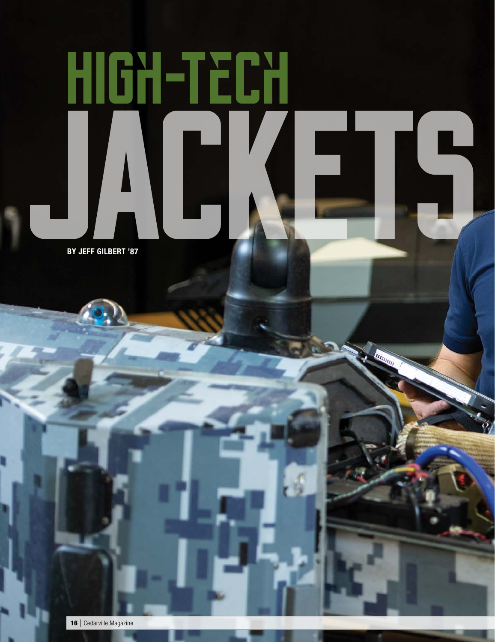# **High-Tech JACKETS**

BY JEFF GILBERT '87

16 | Cedarville Magazine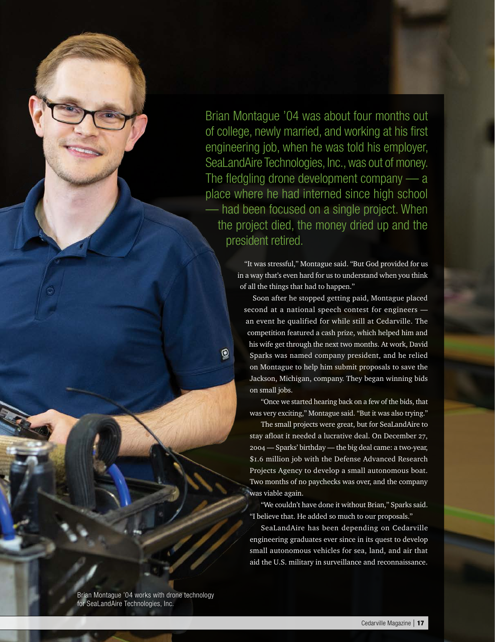Brian Montague '04 was about four months out<br>of college, newly married, and working at his first<br>engineering job, when he was told his employer,<br>SeaLandAire Technologies, Inc., was out of money.<br>The fledgling drone develop of college, newly married, and working at his first engineering job, when he was told his employer, SeaLandAire Technologies, Inc., was out of money. The fledgling drone development company — a place where he had interned since high school — had been focused on a single project. When the project died, the money dried up and the president retired.

"It was stressful," Montague said. "But God provided for us in a way that's even hard for us to understand when you think of all the things that had to happen."

Soon after he stopped getting paid, Montague placed second at a national speech contest for engineers an event he qualified for while still at Cedarville. The competition featured a cash prize, which helped him and his wife get through the next two months. At work, David Sparks was named company president, and he relied on Montague to help him submit proposals to save the Jackson, Michigan, company. They began winning bids on small jobs.

 $^\copyright$ 

"Once we started hearing back on a few of the bids, that was very exciting," Montague said. "But it was also trying."

The small projects were great, but for SeaLandAire to stay afloat it needed a lucrative deal. On December 27, 2004 — Sparks' birthday — the big deal came: a two-year, \$1.6 million job with the Defense Advanced Research Projects Agency to develop a small autonomous boat. Two months of no paychecks was over, and the company was viable again.

"We couldn't have done it without Brian," Sparks said. "I believe that. He added so much to our proposals."

SeaLandAire has been depending on Cedarville engineering graduates ever since in its quest to develop small autonomous vehicles for sea, land, and air that aid the U.S. military in surveillance and reconnaissance.

Brian Montague '04 works with drone technology for SeaLandAire Technologies, Inc.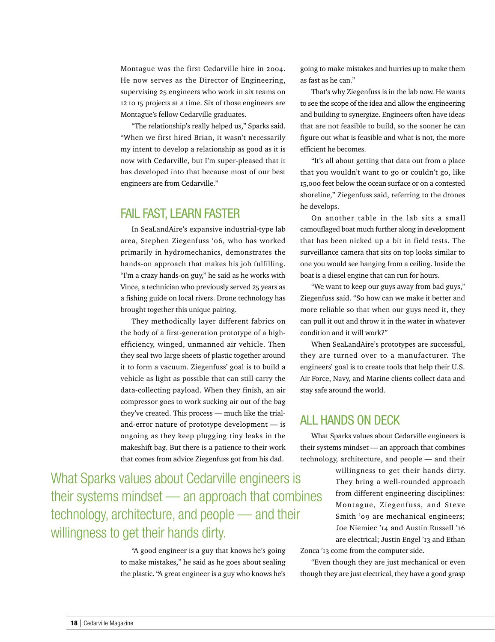Montague was the first Cedarville hire in 2004. He now serves as the Director of Engineering, supervising 25 engineers who work in six teams on 12 to 15 projects at a time. Six of those engineers are Montague's fellow Cedarville graduates.

"The relationship's really helped us," Sparks said. "When we first hired Brian, it wasn't necessarily my intent to develop a relationship as good as it is now with Cedarville, but I'm super-pleased that it has developed into that because most of our best engineers are from Cedarville."

### FAIL FAST, LEARN FASTER

In SeaLandAire's expansive industrial-type lab area, Stephen Ziegenfuss '06, who has worked primarily in hydromechanics, demonstrates the hands-on approach that makes his job fulfilling. "I'm a crazy hands-on guy," he said as he works with Vince, a technician who previously served 25 years as a fishing guide on local rivers. Drone technology has brought together this unique pairing.

They methodically layer different fabrics on the body of a first-generation prototype of a highefficiency, winged, unmanned air vehicle. Then they seal two large sheets of plastic together around it to form a vacuum. Ziegenfuss' goal is to build a vehicle as light as possible that can still carry the data-collecting payload. When they finish, an air compressor goes to work sucking air out of the bag they've created. This process — much like the trialand-error nature of prototype development — is ongoing as they keep plugging tiny leaks in the makeshift bag. But there is a patience to their work that comes from advice Ziegenfuss got from his dad.

What Sparks values about Cedarville engineers is their systems mindset — an approach that combines technology, architecture, and people — and their willingness to get their hands dirty.

> "A good engineer is a guy that knows he's going to make mistakes," he said as he goes about sealing the plastic. "A great engineer is a guy who knows he's

going to make mistakes and hurries up to make them as fast as he can."

That's why Ziegenfuss is in the lab now. He wants to see the scope of the idea and allow the engineering and building to synergize. Engineers often have ideas that are not feasible to build, so the sooner he can figure out what is feasible and what is not, the more efficient he becomes.

"It's all about getting that data out from a place that you wouldn't want to go or couldn't go, like 15,000 feet below the ocean surface or on a contested shoreline," Ziegenfuss said, referring to the drones he develops.

On another table in the lab sits a small camouflaged boat much further along in development that has been nicked up a bit in field tests. The surveillance camera that sits on top looks similar to one you would see hanging from a ceiling. Inside the boat is a diesel engine that can run for hours.

"We want to keep our guys away from bad guys," Ziegenfuss said. "So how can we make it better and more reliable so that when our guys need it, they can pull it out and throw it in the water in whatever condition and it will work?"

When SeaLandAire's prototypes are successful, they are turned over to a manufacturer. The engineers' goal is to create tools that help their U.S. Air Force, Navy, and Marine clients collect data and stay safe around the world.

### ALL HANDS ON DECK

What Sparks values about Cedarville engineers is their systems mindset — an approach that combines technology, architecture, and people — and their

> willingness to get their hands dirty. They bring a well-rounded approach from different engineering disciplines: Montague, Ziegenfuss, and Steve Smith '09 are mechanical engineers; Joe Niemiec '14 and Austin Russell '16 are electrical; Justin Engel '13 and Ethan

Zonca '13 come from the computer side.

"Even though they are just mechanical or even though they are just electrical, they have a good grasp